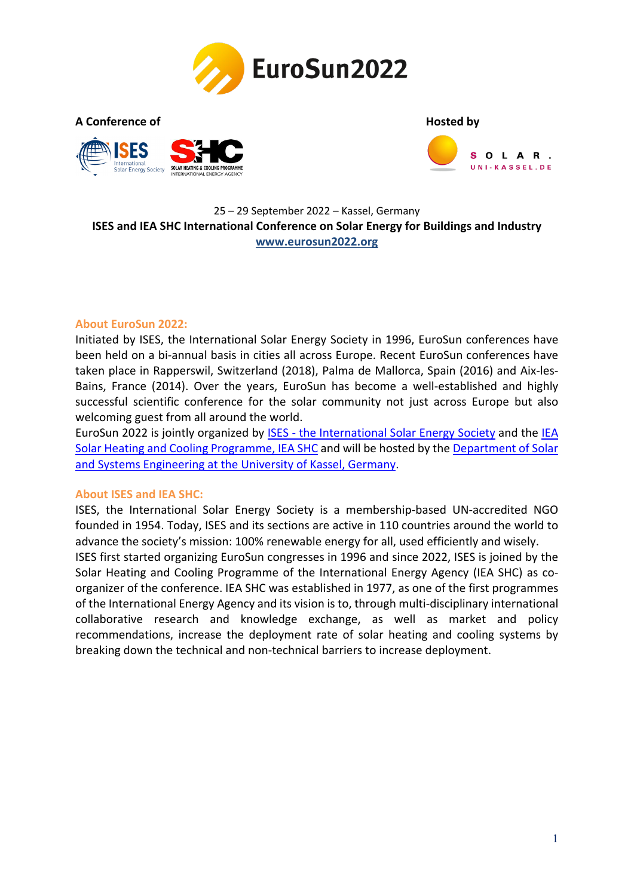

**A Conference of [Hosted by](https://www.uni-kassel.de/maschinenbau/en/institute/thermische-energietechnik/fachgebiete/solar-und-anlagentechnik/about-us)**





### 25 – 29 September 2022 – Kassel, Germany **ISES and IEA SHC International Conference on Solar Energy for Buildings and Industry [www.eurosun2022.org](https://www.eurosun2022.org/)**

#### **About EuroSun 2022:**

Initiated by ISES, the International Solar Energy Society in 1996, EuroSun conferences have been held on a bi-annual basis in cities all across Europe. Recent EuroSun conferences have taken place in Rapperswil, Switzerland (2018), Palma de Mallorca, Spain (2016) and Aix-les-Bains, France (2014). Over the years, EuroSun has become a well-established and highly successful scientific conference for the solar community not just across Europe but also welcoming guest from all around the world.

EuroSun 2022 is jointly organized by [ISES - the International Solar Energy Society](https://www.ises.org/) and the [IEA](https://www.iea-shc.org/)  [Solar Heating and Cooling Programme, IEA SHC](https://www.iea-shc.org/) and will be hosted by the [Department of Solar](https://www.uni-kassel.de/maschinenbau/en/institute/thermische-energietechnik/fachgebiete/solar-und-anlagentechnik/about-us)  [and Systems Engineering at the University of Kassel, Germany.](https://www.uni-kassel.de/maschinenbau/en/institute/thermische-energietechnik/fachgebiete/solar-und-anlagentechnik/about-us)

#### **About ISES and IEA SHC:**

ISES, the International Solar Energy Society is a membership-based UN-accredited NGO founded in 1954. Today, ISES and its sections are active in 110 countries around the world to advance the society's mission: 100% renewable energy for all, used efficiently and wisely.

ISES first started organizing EuroSun congresses in 1996 and since 2022, ISES is joined by the Solar Heating and Cooling Programme of the International Energy Agency (IEA SHC) as coorganizer of the conference. IEA SHC was established in 1977, as one of the first programmes of the International Energy Agency and its vision is to, through multi-disciplinary international collaborative research and knowledge exchange, as well as market and policy recommendations, increase the deployment rate of solar heating and cooling systems by breaking down the technical and non-technical barriers to increase deployment.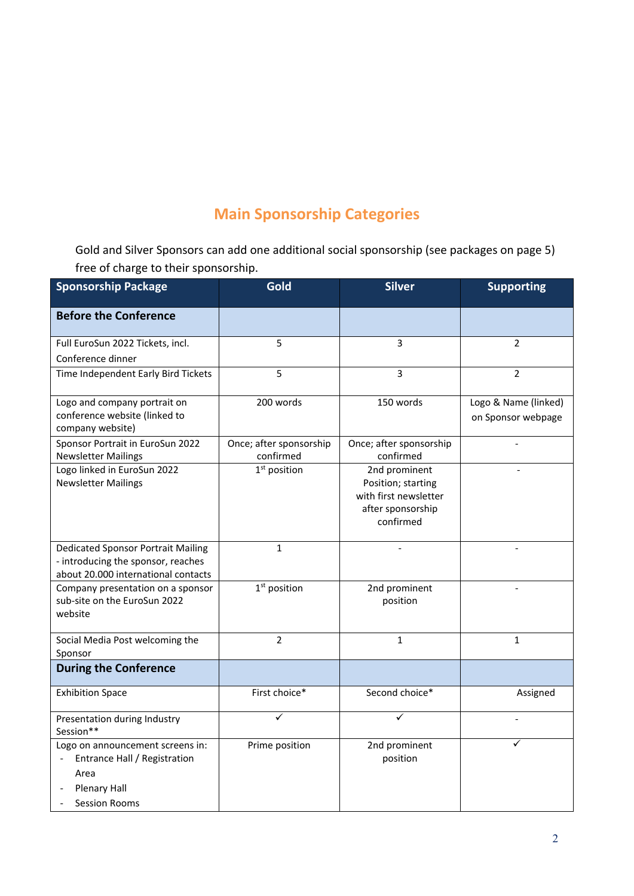# **Main Sponsorship Categories**

Gold and Silver Sponsors can add one additional social sponsorship (see packages on page 5) free of charge to their sponsorship.

| <b>Sponsorship Package</b>                                                                                              | Gold                                 | <b>Silver</b>                                                                                  | <b>Supporting</b>                          |
|-------------------------------------------------------------------------------------------------------------------------|--------------------------------------|------------------------------------------------------------------------------------------------|--------------------------------------------|
| <b>Before the Conference</b>                                                                                            |                                      |                                                                                                |                                            |
| Full EuroSun 2022 Tickets, incl.<br>Conference dinner                                                                   | 5                                    | 3                                                                                              | 2                                          |
| Time Independent Early Bird Tickets                                                                                     | 5                                    | 3                                                                                              | $\overline{2}$                             |
| Logo and company portrait on<br>conference website (linked to<br>company website)                                       | 200 words                            | 150 words                                                                                      | Logo & Name (linked)<br>on Sponsor webpage |
| Sponsor Portrait in EuroSun 2022<br><b>Newsletter Mailings</b>                                                          | Once; after sponsorship<br>confirmed | Once; after sponsorship<br>confirmed                                                           |                                            |
| Logo linked in EuroSun 2022<br><b>Newsletter Mailings</b>                                                               | 1 <sup>st</sup> position             | 2nd prominent<br>Position; starting<br>with first newsletter<br>after sponsorship<br>confirmed |                                            |
| <b>Dedicated Sponsor Portrait Mailing</b><br>- introducing the sponsor, reaches<br>about 20.000 international contacts  | $\mathbf{1}$                         |                                                                                                |                                            |
| Company presentation on a sponsor<br>sub-site on the EuroSun 2022<br>website                                            | 1 <sup>st</sup> position             | 2nd prominent<br>position                                                                      | $\overline{a}$                             |
| Social Media Post welcoming the<br>Sponsor                                                                              | $\overline{2}$                       | $\mathbf{1}$                                                                                   | $\mathbf{1}$                               |
| <b>During the Conference</b>                                                                                            |                                      |                                                                                                |                                            |
| <b>Exhibition Space</b>                                                                                                 | First choice*                        | Second choice*                                                                                 | Assigned                                   |
| Presentation during Industry<br>Session**                                                                               | ✓                                    |                                                                                                |                                            |
| Logo on announcement screens in:<br>Entrance Hall / Registration<br>Area<br><b>Plenary Hall</b><br><b>Session Rooms</b> | Prime position                       | 2nd prominent<br>position                                                                      |                                            |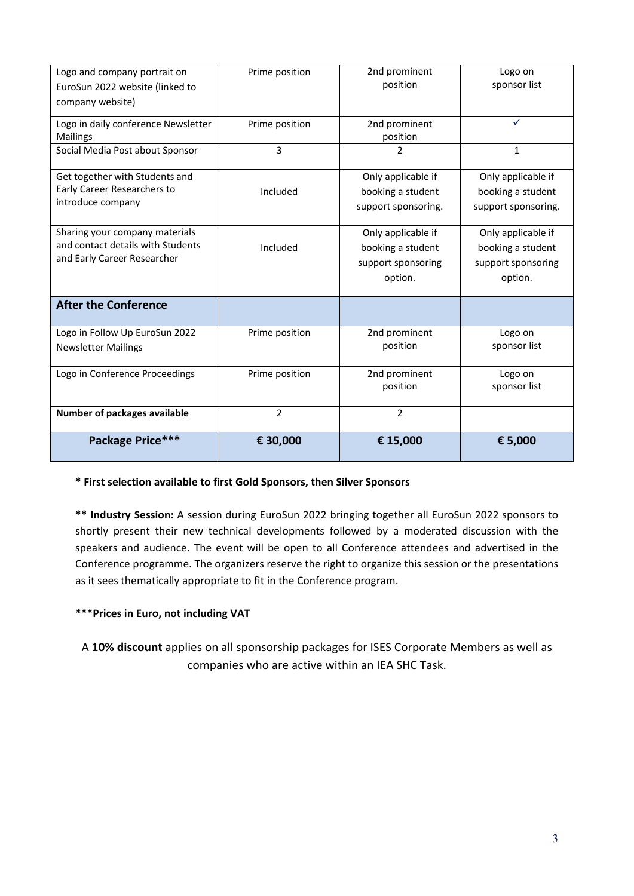| Logo and company portrait on        | Prime position | 2nd prominent       | Logo on             |
|-------------------------------------|----------------|---------------------|---------------------|
| EuroSun 2022 website (linked to     |                | position            | sponsor list        |
| company website)                    |                |                     |                     |
| Logo in daily conference Newsletter | Prime position | 2nd prominent       | ✓                   |
| <b>Mailings</b>                     |                | position            |                     |
| Social Media Post about Sponsor     | 3              | 2                   | $\mathbf{1}$        |
| Get together with Students and      |                | Only applicable if  | Only applicable if  |
| Early Career Researchers to         | Included       | booking a student   | booking a student   |
| introduce company                   |                | support sponsoring. | support sponsoring. |
| Sharing your company materials      |                | Only applicable if  | Only applicable if  |
| and contact details with Students   | Included       | booking a student   | booking a student   |
| and Early Career Researcher         |                | support sponsoring  | support sponsoring  |
|                                     |                | option.             | option.             |
| <b>After the Conference</b>         |                |                     |                     |
| Logo in Follow Up EuroSun 2022      | Prime position | 2nd prominent       | Logo on             |
| <b>Newsletter Mailings</b>          |                | position            | sponsor list        |
| Logo in Conference Proceedings      | Prime position | 2nd prominent       | Logo on             |
|                                     |                | position            | sponsor list        |
| Number of packages available        | $\overline{2}$ | $\overline{2}$      |                     |
| Package Price***                    | € 30,000       | € 15,000            | € 5,000             |

**\* First selection available to first Gold Sponsors, then Silver Sponsors** 

**\*\* Industry Session:** A session during EuroSun 2022 bringing together all EuroSun 2022 sponsors to shortly present their new technical developments followed by a moderated discussion with the speakers and audience. The event will be open to all Conference attendees and advertised in the Conference programme. The organizers reserve the right to organize this session or the presentations as it sees thematically appropriate to fit in the Conference program.

### **\*\*\*Prices in Euro, not including VAT**

A **10% discount** applies on all sponsorship packages for ISES Corporate Members as well as companies who are active within an IEA SHC Task.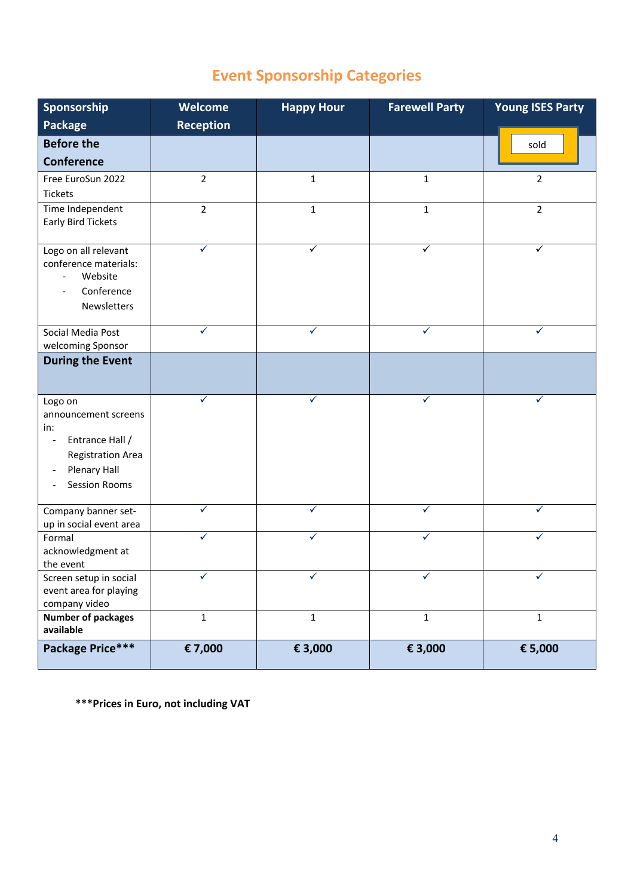# **Event Sponsorship Categories**

| Sponsorship                                       | Welcome          | <b>Happy Hour</b> | <b>Farewell Party</b> | <b>Young ISES Party</b> |
|---------------------------------------------------|------------------|-------------------|-----------------------|-------------------------|
| Package                                           | <b>Reception</b> |                   |                       |                         |
| <b>Before the</b>                                 |                  |                   |                       | sold                    |
| <b>Conference</b>                                 |                  |                   |                       |                         |
| Free EuroSun 2022                                 | $\overline{2}$   | $\mathbf{1}$      | $\mathbf{1}$          | $\overline{2}$          |
| <b>Tickets</b>                                    |                  |                   |                       |                         |
| Time Independent                                  | $\overline{2}$   | $\mathbf{1}$      | $\mathbf{1}$          | $\overline{2}$          |
| Early Bird Tickets                                |                  |                   |                       |                         |
| Logo on all relevant                              | $\checkmark$     | ✓                 | $\checkmark$          | ✓                       |
| conference materials:                             |                  |                   |                       |                         |
| Website<br>$\overline{\phantom{a}}$<br>Conference |                  |                   |                       |                         |
| Newsletters                                       |                  |                   |                       |                         |
|                                                   |                  |                   |                       |                         |
| Social Media Post                                 |                  |                   | ✓                     |                         |
| welcoming Sponsor                                 |                  |                   |                       |                         |
| <b>During the Event</b>                           |                  |                   |                       |                         |
|                                                   |                  |                   |                       |                         |
| Logo on                                           | ✓                |                   | ✓                     |                         |
| announcement screens<br>in:                       |                  |                   |                       |                         |
| Entrance Hall /<br>$\overline{\phantom{a}}$       |                  |                   |                       |                         |
| <b>Registration Area</b>                          |                  |                   |                       |                         |
| Plenary Hall                                      |                  |                   |                       |                         |
| <b>Session Rooms</b>                              |                  |                   |                       |                         |
| Company banner set-                               | ✓                | ✓                 | ✓                     | ✓                       |
| up in social event area                           |                  |                   |                       |                         |
| Formal                                            | ✓                |                   | ✓                     |                         |
| acknowledgment at<br>the event                    |                  |                   |                       |                         |
| Screen setup in social                            |                  | $\checkmark$      | $\checkmark$          | $\checkmark$            |
| event area for playing                            |                  |                   |                       |                         |
| company video                                     |                  |                   |                       |                         |
| <b>Number of packages</b><br>available            | $\mathbf 1$      | $\mathbf 1$       | $\mathbf{1}$          | $\mathbf{1}$            |
| Package Price***                                  | € 7,000          | € 3,000           | € 3,000               | € 5,000                 |
|                                                   |                  |                   |                       |                         |

**\*\*\*Prices in Euro, not including VAT**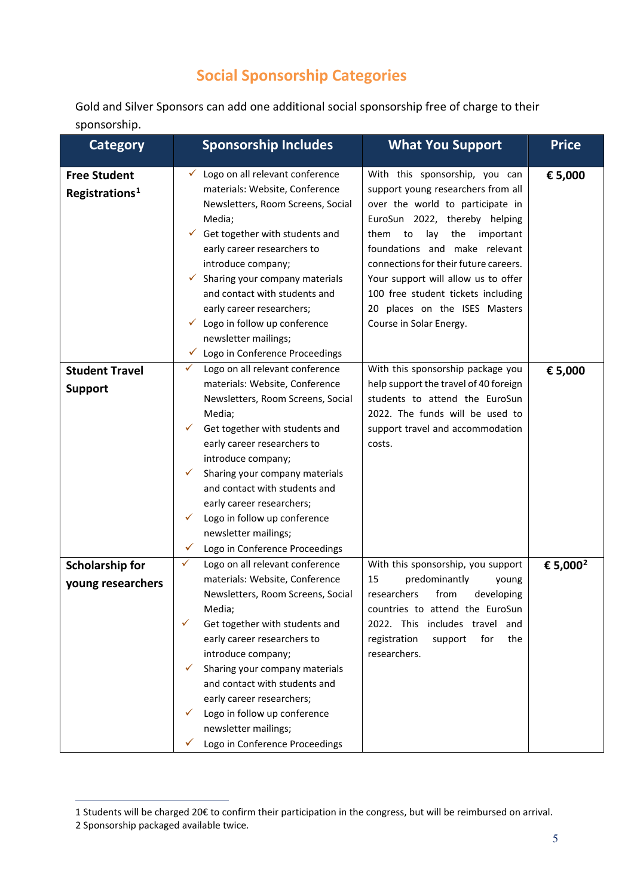## **Social Sponsorship Categories**

Gold and Silver Sponsors can add one additional social sponsorship free of charge to their sponsorship.

| <b>Category</b>                                   | <b>Sponsorship Includes</b><br><b>What You Support</b>                                                                                                                                                                                                                                                                                                                                                                                                                                                                                                                                                                                                                                                                                                                                                                      | <b>Price</b>         |
|---------------------------------------------------|-----------------------------------------------------------------------------------------------------------------------------------------------------------------------------------------------------------------------------------------------------------------------------------------------------------------------------------------------------------------------------------------------------------------------------------------------------------------------------------------------------------------------------------------------------------------------------------------------------------------------------------------------------------------------------------------------------------------------------------------------------------------------------------------------------------------------------|----------------------|
| <b>Free Student</b><br>Registrations <sup>1</sup> | Logo on all relevant conference<br>With this sponsorship, you can<br>✓<br>materials: Website, Conference<br>support young researchers from all<br>Newsletters, Room Screens, Social<br>over the world to participate in<br>Media;<br>EuroSun 2022, thereby helping<br>Get together with students and<br>lay<br>the<br>✓<br>them to<br>important<br>foundations and make relevant<br>early career researchers to<br>connections for their future careers.<br>introduce company;<br>Your support will allow us to offer<br>Sharing your company materials<br>✓<br>and contact with students and<br>100 free student tickets including<br>early career researchers;<br>20 places on the ISES Masters<br>Logo in follow up conference<br>Course in Solar Energy.<br>✓<br>newsletter mailings;<br>Logo in Conference Proceedings | € 5,000              |
| <b>Student Travel</b>                             | Logo on all relevant conference<br>✓<br>With this sponsorship package you                                                                                                                                                                                                                                                                                                                                                                                                                                                                                                                                                                                                                                                                                                                                                   | € 5,000              |
| <b>Support</b>                                    | materials: Website, Conference<br>help support the travel of 40 foreign<br>students to attend the EuroSun<br>Newsletters, Room Screens, Social<br>2022. The funds will be used to<br>Media;<br>Get together with students and<br>support travel and accommodation<br>$\checkmark$<br>early career researchers to<br>costs.<br>introduce company;<br>Sharing your company materials<br>✓<br>and contact with students and<br>early career researchers;<br>Logo in follow up conference<br>✓<br>newsletter mailings;<br>Logo in Conference Proceedings<br>$\checkmark$                                                                                                                                                                                                                                                        |                      |
| <b>Scholarship for</b>                            | ✓<br>Logo on all relevant conference<br>With this sponsorship, you support                                                                                                                                                                                                                                                                                                                                                                                                                                                                                                                                                                                                                                                                                                                                                  | € 5,000 <sup>2</sup> |
| young researchers                                 | materials: Website, Conference<br>15<br>predominantly<br>young<br>researchers<br>from<br>Newsletters, Room Screens, Social<br>developing<br>countries to attend the EuroSun<br>Media;<br>✓<br>Get together with students and<br>2022. This includes travel and<br>early career researchers to<br>registration<br>support<br>for<br>the<br>introduce company;<br>researchers.<br>Sharing your company materials<br>V<br>and contact with students and<br>early career researchers;<br>Logo in follow up conference<br>✓<br>newsletter mailings;<br>Logo in Conference Proceedings                                                                                                                                                                                                                                            |                      |

-

<sup>1</sup> Students will be charged 20€ to confirm their participation in the congress, but will be reimbursed on arrival.

<span id="page-4-1"></span><span id="page-4-0"></span><sup>2</sup> Sponsorship packaged available twice.